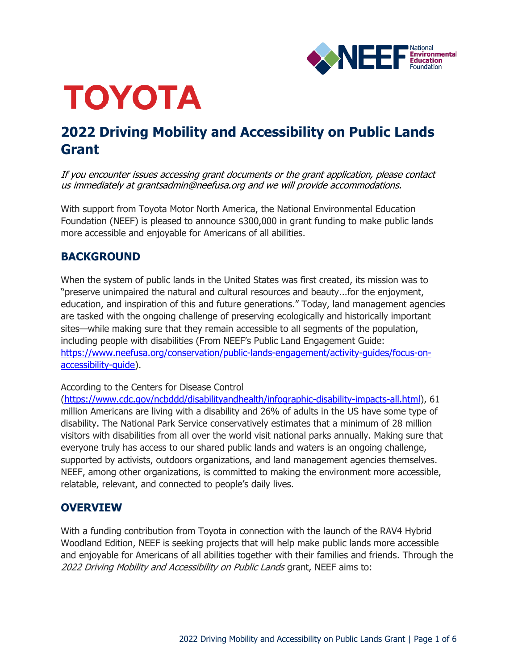

# **TOYOTA**

# **2022 Driving Mobility and Accessibility on Public Lands Grant**

If you encounter issues accessing grant documents or the grant application, please contact us immediately at grantsadmin@neefusa.org and we will provide accommodations.

With support from Toyota Motor North America, the National Environmental Education Foundation (NEEF) is pleased to announce \$300,000 in grant funding to make public lands more accessible and enjoyable for Americans of all abilities.

# **BACKGROUND**

When the system of public lands in the United States was first created, its mission was to "preserve unimpaired the natural and cultural resources and beauty...for the enjoyment, education, and inspiration of this and future generations." Today, land management agencies are tasked with the ongoing challenge of preserving ecologically and historically important sites—while making sure that they remain accessible to all segments of the population, including people with disabilities (From NEEF's Public Land Engagement Guide: [https://www.neefusa.org/conservation/public-lands-engagement/activity-guides/focus-on](https://www.neefusa.org/conservation/public-lands-engagement/activity-guides/focus-on-accessibility-guide)[accessibility-guide\)](https://www.neefusa.org/conservation/public-lands-engagement/activity-guides/focus-on-accessibility-guide).

# According to the Centers for Disease Control

[\(https://www.cdc.gov/ncbddd/disabilityandhealth/infographic-disability-impacts-all.html\)](https://www.cdc.gov/ncbddd/disabilityandhealth/infographic-disability-impacts-all.html), 61 million Americans are living with a disability and 26% of adults in the US have some type of disability. The National Park Service conservatively estimates that a minimum of 28 million visitors with disabilities from all over the world visit national parks annually. Making sure that everyone truly has access to our shared public lands and waters is an ongoing challenge, supported by activists, outdoors organizations, and land management agencies themselves. NEEF, among other organizations, is committed to making the environment more accessible, relatable, relevant, and connected to people's daily lives.

# **OVERVIEW**

With a funding contribution from Toyota in connection with the launch of the RAV4 Hybrid Woodland Edition, NEEF is seeking projects that will help make public lands more accessible and enjoyable for Americans of all abilities together with their families and friends. Through the 2022 Driving Mobility and Accessibility on Public Lands grant, NEEF aims to: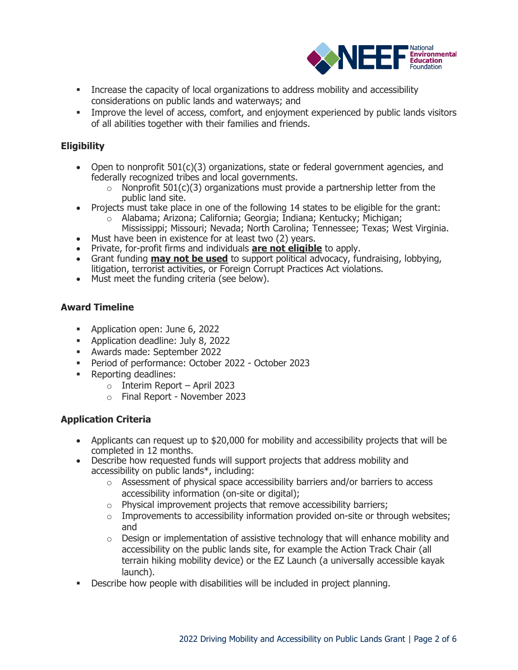

- **•** Increase the capacity of local organizations to address mobility and accessibility considerations on public lands and waterways; and
- **Improve the level of access, comfort, and enjoyment experienced by public lands visitors** of all abilities together with their families and friends.

# **Eligibility**

- Open to nonprofit  $501(c)(3)$  organizations, state or federal government agencies, and federally recognized tribes and local governments.
	- $\circ$  Nonprofit 501(c)(3) organizations must provide a partnership letter from the public land site.
- Projects must take place in one of the following 14 states to be eligible for the grant:
	- o Alabama; Arizona; California; Georgia; Indiana; Kentucky; Michigan; Mississippi; Missouri; Nevada; North Carolina; Tennessee; Texas; West Virginia.
- Must have been in existence for at least two (2) years.
- Private, for-profit firms and individuals **are not eligible** to apply.
- Grant funding **may not be used** to support political advocacy, fundraising, lobbying, litigation, terrorist activities, or Foreign Corrupt Practices Act violations.
- Must meet the funding criteria (see below).

# **Award Timeline**

- Application open: June 6, 2022
- Application deadline: July 8, 2022
- Awards made: September 2022
- Period of performance: October 2022 October 2023
- Reporting deadlines:
	- $\circ$  Interim Report April 2023
	- o Final Report November 2023

# **Application Criteria**

- Applicants can request up to \$20,000 for mobility and accessibility projects that will be completed in 12 months.
- Describe how requested funds will support projects that address mobility and accessibility on public lands\*, including:
	- $\circ$  Assessment of physical space accessibility barriers and/or barriers to access accessibility information (on-site or digital);
	- $\circ$  Physical improvement projects that remove accessibility barriers;
	- $\circ$  Improvements to accessibility information provided on-site or through websites; and
	- $\circ$  Design or implementation of assistive technology that will enhance mobility and accessibility on the public lands site, for example the Action Track Chair (all terrain hiking mobility device) or the EZ Launch (a universally accessible kayak launch).
- Describe how people with disabilities will be included in project planning.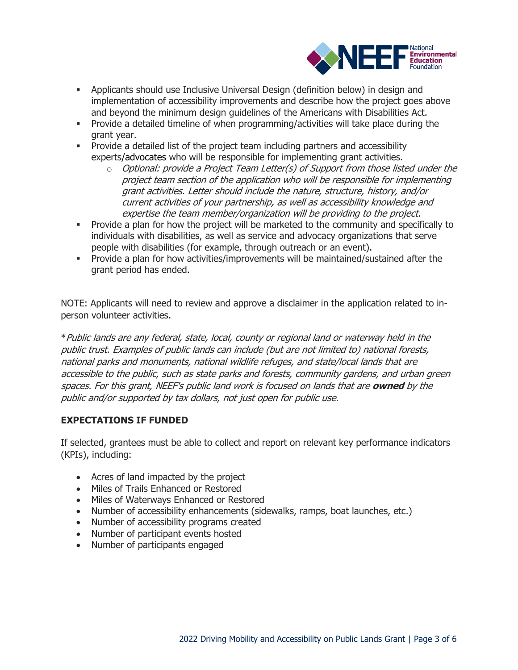

- **•** Applicants should use Inclusive Universal Design (definition below) in design and implementation of accessibility improvements and describe how the project goes above and beyond the minimum design guidelines of the Americans with Disabilities Act.
- Provide a detailed timeline of when programming/activities will take place during the grant year.
- Provide a detailed list of the project team including partners and accessibility experts/advocates who will be responsible for implementing grant activities.
	- $\circ$  Optional: provide a Project Team Letter(s) of Support from those listed under the project team section of the application who will be responsible for implementing grant activities. Letter should include the nature, structure, history, and/or current activities of your partnership, as well as accessibility knowledge and expertise the team member/organization will be providing to the project.
- **•** Provide a plan for how the project will be marketed to the community and specifically to individuals with disabilities, as well as service and advocacy organizations that serve people with disabilities (for example, through outreach or an event).
- Provide a plan for how activities/improvements will be maintained/sustained after the grant period has ended.

NOTE: Applicants will need to review and approve a disclaimer in the application related to inperson volunteer activities.

\*Public lands are any federal, state, local, county or regional land or waterway held in the public trust. Examples of public lands can include (but are not limited to) national forests, national parks and monuments, national wildlife refuges, and state/local lands that are accessible to the public, such as state parks and forests, community gardens, and urban green spaces. For this grant, NEEF's public land work is focused on lands that are **owned** by the public and/or supported by tax dollars, not just open for public use.

# **EXPECTATIONS IF FUNDED**

If selected, grantees must be able to collect and report on relevant key performance indicators (KPIs), including:

- Acres of land impacted by the project
- Miles of Trails Enhanced or Restored
- Miles of Waterways Enhanced or Restored
- Number of accessibility enhancements (sidewalks, ramps, boat launches, etc.)
- Number of accessibility programs created
- Number of participant events hosted
- Number of participants engaged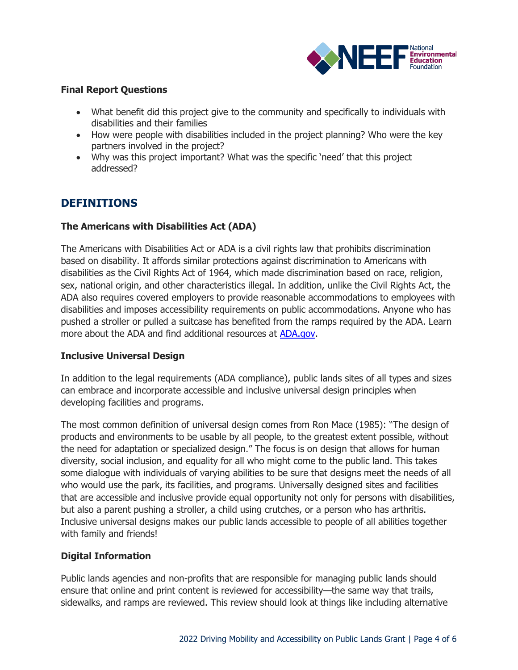

#### **Final Report Questions**

- What benefit did this project give to the community and specifically to individuals with disabilities and their families
- How were people with disabilities included in the project planning? Who were the key partners involved in the project?
- Why was this project important? What was the specific 'need' that this project addressed?

# **DEFINITIONS**

# **The Americans with Disabilities Act (ADA)**

The Americans with Disabilities Act or ADA is a civil rights law that prohibits discrimination based on disability. It affords similar protections against discrimination to Americans with disabilities as the Civil Rights Act of 1964, which made discrimination based on race, religion, sex, national origin, and other characteristics illegal. In addition, unlike the Civil Rights Act, the ADA also requires covered employers to provide reasonable accommodations to employees with disabilities and imposes accessibility requirements on public accommodations. Anyone who has pushed a stroller or pulled a suitcase has benefited from the ramps required by the ADA. Learn more about the ADA and find additional resources at [ADA.gov.](https://www.ada.gov/)

# **Inclusive Universal Design**

In addition to the legal requirements (ADA compliance), public lands sites of all types and sizes can embrace and incorporate accessible and inclusive universal design principles when developing facilities and programs.

The most common definition of universal design comes from Ron Mace (1985): "The design of products and environments to be usable by all people, to the greatest extent possible, without the need for adaptation or specialized design." The focus is on design that allows for human diversity, social inclusion, and equality for all who might come to the public land. This takes some dialogue with individuals of varying abilities to be sure that designs meet the needs of all who would use the park, its facilities, and programs. Universally designed sites and facilities that are accessible and inclusive provide equal opportunity not only for persons with disabilities, but also a parent pushing a stroller, a child using crutches, or a person who has arthritis. Inclusive universal designs makes our public lands accessible to people of all abilities together with family and friends!

# **Digital Information**

Public lands agencies and non-profits that are responsible for managing public lands should ensure that online and print content is reviewed for accessibility—the same way that trails, sidewalks, and ramps are reviewed. This review should look at things like including alternative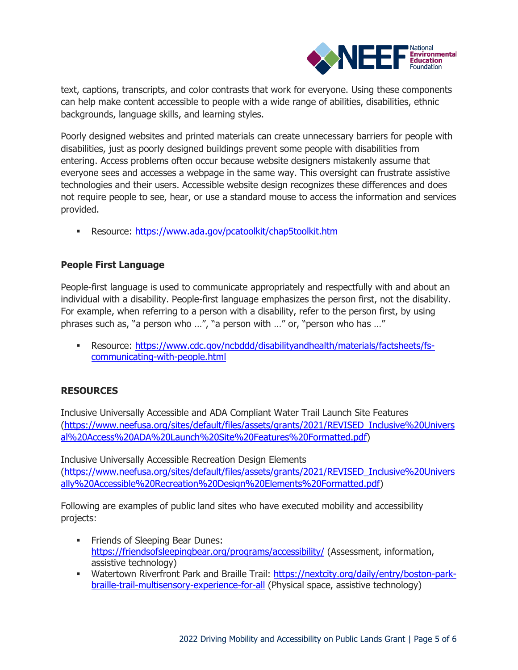

text, captions, transcripts, and color contrasts that work for everyone. Using these components can help make content accessible to people with a wide range of abilities, disabilities, ethnic backgrounds, language skills, and learning styles.

Poorly designed websites and printed materials can create unnecessary barriers for people with disabilities, just as poorly designed buildings prevent some people with disabilities from entering. Access problems often occur because website designers mistakenly assume that everyone sees and accesses a webpage in the same way. This oversight can frustrate assistive technologies and their users. Accessible website design recognizes these differences and does not require people to see, hear, or use a standard mouse to access the information and services provided.

▪ Resource:<https://www.ada.gov/pcatoolkit/chap5toolkit.htm>

# **People First Language**

People-first language is used to communicate appropriately and respectfully with and about an individual with a disability. People-first language emphasizes the person first, not the disability. For example, when referring to a person with a disability, refer to the person first, by using phrases such as, "a person who …", "a person with …" or, "person who has …"

▪ Resource: [https://www.cdc.gov/ncbddd/disabilityandhealth/materials/factsheets/fs](https://www.cdc.gov/ncbddd/disabilityandhealth/materials/factsheets/fs-communicating-with-people.html)[communicating-with-people.html](https://www.cdc.gov/ncbddd/disabilityandhealth/materials/factsheets/fs-communicating-with-people.html)

# **RESOURCES**

Inclusive Universally Accessible and ADA Compliant Water Trail Launch Site Features [\(https://www.neefusa.org/sites/default/files/assets/grants/2021/REVISED\\_Inclusive%20Univers](https://www.neefusa.org/sites/default/files/assets/grants/2021/REVISED_Inclusive%20Universal%20Access%20ADA%20Launch%20Site%20Features%20Formatted.pdf) [al%20Access%20ADA%20Launch%20Site%20Features%20Formatted.pdf\)](https://www.neefusa.org/sites/default/files/assets/grants/2021/REVISED_Inclusive%20Universal%20Access%20ADA%20Launch%20Site%20Features%20Formatted.pdf)

Inclusive Universally Accessible Recreation Design Elements [\(https://www.neefusa.org/sites/default/files/assets/grants/2021/REVISED\\_Inclusive%20Univers](https://www.neefusa.org/sites/default/files/assets/grants/2021/REVISED_Inclusive%20Universally%20Accessible%20Recreation%20Design%20Elements%20Formatted.pdf) [ally%20Accessible%20Recreation%20Design%20Elements%20Formatted.pdf\)](https://www.neefusa.org/sites/default/files/assets/grants/2021/REVISED_Inclusive%20Universally%20Accessible%20Recreation%20Design%20Elements%20Formatted.pdf)

Following are examples of public land sites who have executed mobility and accessibility projects:

- **•** Friends of Sleeping Bear Dunes: <https://friendsofsleepingbear.org/programs/accessibility/> (Assessment, information, assistive technology)
- Watertown Riverfront Park and Braille Trail: [https://nextcity.org/daily/entry/boston-park](https://nextcity.org/daily/entry/boston-park-braille-trail-multisensory-experience-for-all)[braille-trail-multisensory-experience-for-all](https://nextcity.org/daily/entry/boston-park-braille-trail-multisensory-experience-for-all) (Physical space, assistive technology)